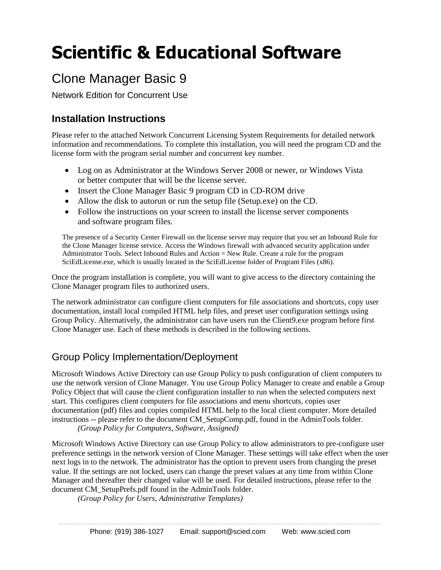# **Scientific & Educational Software**

# Clone Manager Basic 9

Network Edition for Concurrent Use

## **Installation Instructions**

Please refer to the attached Network Concurrent Licensing System Requirements for detailed network information and recommendations. To complete this installation, you will need the program CD and the license form with the program serial number and concurrent key number.

- Log on as Administrator at the Windows Server 2008 or newer, or Windows Vista or better computer that will be the license server.
- Insert the Clone Manager Basic 9 program CD in CD-ROM drive
- Allow the disk to autorun or run the setup file (Setup.exe) on the CD.
- Follow the instructions on your screen to install the license server components and software program files.

The presence of a Security Center Firewall on the license server may require that you set an Inbound Rule for the Clone Manager license service. Access the Windows firewall with advanced security application under Administrator Tools. Select Inbound Rules and Action = New Rule. Create a rule for the program SciEdLicense.exe, which is usually located in the SciEdLicense folder of Program Files (x86).

Once the program installation is complete, you will want to give access to the directory containing the Clone Manager program files to authorized users.

The network administrator can configure client computers for file associations and shortcuts, copy user documentation, install local compiled HTML help files, and preset user configuration settings using Group Policy. Alternatively, the administrator can have users run the Client9.exe program before first Clone Manager use. Each of these methods is described in the following sections.

## Group Policy Implementation/Deployment

Microsoft Windows Active Directory can use Group Policy to push configuration of client computers to use the network version of Clone Manager. You use Group Policy Manager to create and enable a Group Policy Object that will cause the client configuration installer to run when the selected computers next start. This configures client computers for file associations and menu shortcuts, copies user documentation (pdf) files and copies compiled HTML help to the local client computer. More detailed instructions -- please refer to the document CM\_SetupComp.pdf, found in the AdminTools folder.

*(Group Policy for Computers, Software, Assigned)*

Microsoft Windows Active Directory can use Group Policy to allow administrators to pre-configure user preference settings in the network version of Clone Manager. These settings will take effect when the user next logs in to the network. The administrator has the option to prevent users from changing the preset value. If the settings are not locked, users can change the preset values at any time from within Clone Manager and thereafter their changed value will be used. For detailed instructions, please refer to the document CM\_SetupPrefs.pdf found in the AdminTools folder.

*(Group Policy for Users, Administrative Templates)*